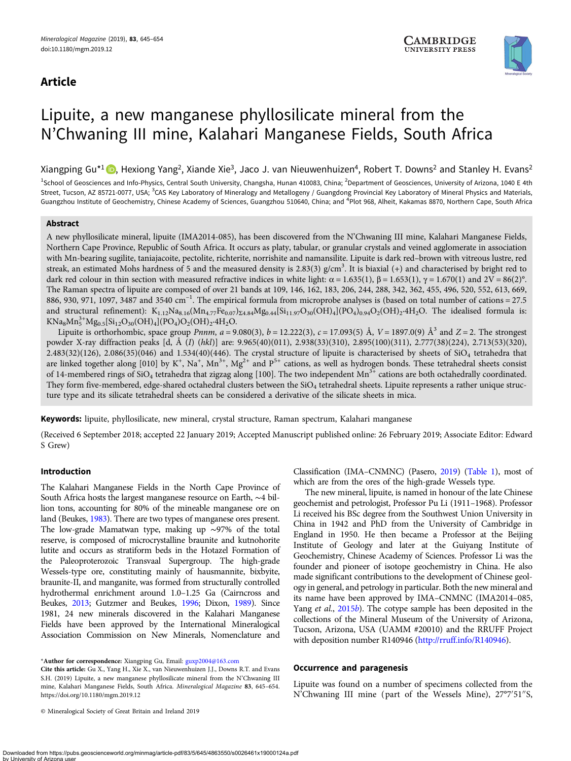# Article



# Lipuite, a new manganese phyllosilicate mineral from the N'Chwaning III mine, Kalahari Manganese Fields, South Africa

Xiangping Gu<sup>\*1</sup>  $\bigcirc$ . Hexiong Yang<sup>2</sup>[,](https://orcid.org/0000-0001-5278-6656) Xiande Xie<sup>3</sup>, Jaco J. van Nieuwenhuizen<sup>4</sup>, Robert T. Downs<sup>2</sup> and Stanley H. Evans<sup>2</sup>

<sup>1</sup>School of Geosciences and Info-Physics, Central South University, Changsha, Hunan 410083, China; <sup>2</sup>Department of Geosciences, University of Arizona, 1040 E 4th Street, Tucson, AZ 85721-0077, USA; <sup>3</sup>CAS Key Laboratory of Mineralogy and Metallogeny / Guangdong Provincial Key Laboratory of Mineral Physics and Materials, Guangzhou Institute of Geochemistry, Chinese Academy of Sciences, Guangzhou 510640, China; and <sup>4</sup>Plot 968, Alheit, Kakamas 8870, Northern Cape, South Africa

#### Abstract

A new phyllosilicate mineral, lipuite (IMA2014-085), has been discovered from the N'Chwaning III mine, Kalahari Manganese Fields, Northern Cape Province, Republic of South Africa. It occurs as platy, tabular, or granular crystals and veined agglomerate in association with Mn-bearing sugilite, taniajacoite, pectolite, richterite, norrishite and namansilite. Lipuite is dark red–brown with vitreous lustre, red streak, an estimated Mohs hardness of 5 and the measured density is 2.83(3) g/cm<sup>3</sup>. It is biaxial (+) and characterised by bright red to dark red colour in thin section with measured refractive indices in white light:  $\alpha = 1.635(1)$ ,  $\beta = 1.653(1)$ ,  $\gamma = 1.670(1)$  and  $2V = 86(2)$ °. The Raman spectra of lipuite are composed of over 21 bands at 109, 146, 162, 183, 206, 244, 288, 342, 362, 455, 496, 520, 552, 613, 669, 886, 930, 971, 1097, 3487 and 3540  $cm^{-1}$ . The empirical formula from microprobe analyses is (based on total number of cations = 27.5 and structural refinement):  $K_{1,12}Na_{8,16}(Mn_{4,77Fe_{0,07}})z_{4.84}Mg_{0.44}[Si_{11.97}O_{30}(OH)_4](PO_4)_{0.94}O_2(OH)_2.4H_2O.$  The idealised formula is:  $KNa_8Mn_5^{3+}Mg_{0.5}[Si_{12}O_{30}(OH)_4](PO_4)O_2(OH)_2.4H_2O.$ 

Lipuite is orthorhombic, space group *Pnnm*,  $a = 9.080(3)$ ,  $b = 12.222(3)$ ,  $c = 17.093(5)$  Å,  $V = 1897.0(9)$  Å<sup>3</sup> and  $Z = 2$ . The strongest powder X-ray diffraction peaks [d, Å (I) (hkl)] are: 9.965(40)(011), 2.938(33)(310), 2.895(100)(311), 2.777(38)(224), 2.713(53)(320), 2.483(32)(126), 2.086(35)(046) and 1.534(40)(446). The crystal structure of lipuite is characterised by sheets of SiO4 tetrahedra that are linked together along [010] by K<sup>+</sup>, Na<sup>+</sup>, Mn<sup>3+</sup>, Mg<sup>2+</sup> and P<sup>5+</sup> cations, as well as hydrogen bonds. These tetrahedral sheets consist of 14-membered rings of  $SiO_4$  tetrahedra that zigzag along [100]. The two independent  $Mn^{3+}$  cations are both octahedrally coordinated. They form five-membered, edge-shared octahedral clusters between the SiO<sub>4</sub> tetrahedral sheets. Lipuite represents a rather unique structure type and its silicate tetrahedral sheets can be considered a derivative of the silicate sheets in mica.

Keywords: lipuite, phyllosilicate, new mineral, crystal structure, Raman spectrum, Kalahari manganese

(Received 6 September 2018; accepted 22 January 2019; Accepted Manuscript published online: 26 February 2019; Associate Editor: Edward S Grew)

# Introduction

The Kalahari Manganese Fields in the North Cape Province of South Africa hosts the largest manganese resource on Earth, ∼4 billion tons, accounting for 80% of the mineable manganese ore on land (Beukes, [1983\)](#page-8-0). There are two types of manganese ores present. The low-grade Mamatwan type, making up ∼97% of the total reserve, is composed of microcrystalline braunite and kutnohorite lutite and occurs as stratiform beds in the Hotazel Formation of the Paleoproterozoic Transvaal Supergroup. The high-grade Wessels-type ore, constituting mainly of hausmannite, bixbyite, braunite-II, and manganite, was formed from structurally controlled hydrothermal enrichment around 1.0–1.25 Ga (Cairncross and Beukes, [2013;](#page-8-0) Gutzmer and Beukes, [1996](#page-8-0); Dixon, [1989](#page-8-0)). Since 1981, 24 new minerals discovered in the Kalahari Manganese Fields have been approved by the International Mineralogical Association Commission on New Minerals, Nomenclature and

\*Author for correspondence: Xiangping Gu, Email: [guxp2004@163.com](mailto:guxp2004@163.com)

© Mineralogical Society of Great Britain and Ireland 2019

Classification (IMA–CNMNC) (Pasero, [2019](#page-8-0)) ([Table 1\)](#page-1-0), most of which are from the ores of the high-grade Wessels type.

The new mineral, lipuite, is named in honour of the late Chinese geochemist and petrologist, Professor Pu Li (1911–1968). Professor Li received his BSc degree from the Southwest Union University in China in 1942 and PhD from the University of Cambridge in England in 1950. He then became a Professor at the Beijing Institute of Geology and later at the Guiyang Institute of Geochemistry, Chinese Academy of Sciences. Professor Li was the founder and pioneer of isotope geochemistry in China. He also made significant contributions to the development of Chinese geology in general, and petrology in particular. Both the new mineral and its name have been approved by IMA–CNMNC (IMA2014–085, Yang et al., [2015](#page-9-0)b). The cotype sample has been deposited in the collections of the Mineral Museum of the University of Arizona, Tucson, Arizona, USA (UAMM #20010) and the RRUFF Project with deposition number R140946 [\(http://rruff.info/R140946\)](http://rruff.info/R140946).

#### Occurrence and paragenesis

Lipuite was found on a number of specimens collected from the N'Chwaning III mine (part of the Wessels Mine), 27°7′ 51′′S,

Cite this article: Gu X., Yang H., Xie X., van Nieuwenhuizen J.J., Downs R.T. and Evans S.H. (2019) Lipuite, a new manganese phyllosilicate mineral from the N'Chwaning III mine, Kalahari Manganese Fields, South Africa. Mineralogical Magazine 83, 645–654. <https://doi.org/10.1180/mgm.2019.12>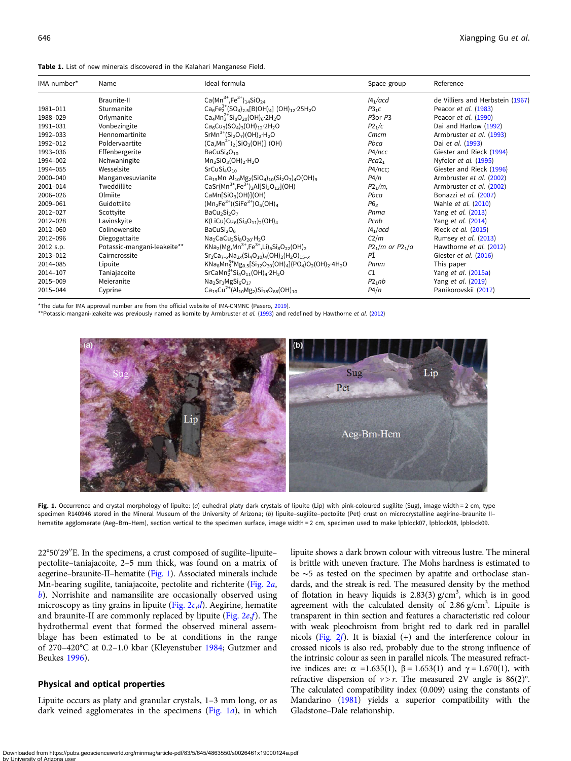<span id="page-1-0"></span>

| Table 1. List of new minerals discovered in the Kalahari Manganese Field. |  |  |  |  |  |
|---------------------------------------------------------------------------|--|--|--|--|--|
|---------------------------------------------------------------------------|--|--|--|--|--|

| IMA number* | Name                        | Ideal formula                                                                                                                                                                  | Space group              | Reference                        |
|-------------|-----------------------------|--------------------------------------------------------------------------------------------------------------------------------------------------------------------------------|--------------------------|----------------------------------|
|             | Braunite-II                 | Ca(Mn <sup>3+</sup> ,Fe <sup>3+</sup> ) <sub>14</sub> SiO <sub>24</sub>                                                                                                        | 14/acd                   | de Villiers and Herbstein (1967) |
| 1981-011    | Sturmanite                  | $Ca_6Fe_2^{3+}(SO_4)_{2}$ = [B(OH) <sub>4</sub> ] (OH) <sub>12</sub> .25H <sub>2</sub> O                                                                                       | $P3_1C$                  | Peacor et al. (1983)             |
| 1988-029    | Orlymanite                  | $Ca4Mn32+Si8O20(OH)6·2H2O$                                                                                                                                                     | $P\bar{3}$ or $P\bar{3}$ | Peacor et al. (1990)             |
| 1991-031    | Vonbezingite                | $Ca_6Cu_3(SO_4)_3(OH)_{12} 2H_2O$                                                                                                                                              | P2 <sub>1</sub> /c       | Dai and Harlow (1992)            |
| 1992-033    | Hennomartinite              | $SrMn^{3+}(Si2O7)(OH)2·H2O$                                                                                                                                                    | Cmcm                     | Armbruster et al. (1993)         |
| 1992-012    | Poldervaartite              | $(Ca, Mn^{2+})_2$ [SiO <sub>3</sub> (OH)] (OH)                                                                                                                                 | Pbca                     | Dai et al. (1993)                |
| 1993-036    | Effenbergerite              | BaCuSi <sub>4</sub> O <sub>10</sub>                                                                                                                                            | P4/ncc                   | Giester and Rieck (1994)         |
| 1994-002    | Nchwaningite                | $Mn2SiO3(OH)2·H2O$                                                                                                                                                             | Pca2 <sub>1</sub>        | Nyfeler et al. (1995)            |
| 1994-055    | Wesselsite                  | SrCuSi <sub>4</sub> O <sub>10</sub>                                                                                                                                            | P4/ncc;                  | Giester and Rieck (1996)         |
| 2000-040    | Manganvesuvianite           | Ca <sub>19</sub> Mn Al <sub>10</sub> Mg <sub>2</sub> (SiO <sub>4</sub> ) <sub>10</sub> (Si <sub>2</sub> O <sub>7</sub> ) <sub>4</sub> O(OH) <sub>9</sub>                       | P4/n                     | Armbruster et al. (2002)         |
| 2001-014    | Tweddillite                 | CaSr(Mn <sup>3+</sup> ,Fe <sup>3+</sup> ) <sub>2</sub> Al[Si <sub>3</sub> O <sub>12</sub> ](OH)                                                                                | $P2_1/m$                 | Armbruster et al. (2002)         |
| 2006-026    | Olmiite                     | CaMn[SiO <sub>3</sub> (OH)](OH)                                                                                                                                                | Pbca                     | Bonazzi et al. (2007)            |
| 2009-061    | Guidottiite                 | $(Mn_2Fe^{3+})(SiFe^{3+})O_5(OH)_4$                                                                                                                                            | P6 <sub>3</sub>          | Wahle et al. (2010)              |
| 2012-027    | Scottyite                   | $BaCu2Si2O7$                                                                                                                                                                   | Pnma                     | Yang et al. (2013)               |
| 2012-028    | Lavinskyite                 | K(LiCu)Cu <sub>6</sub> (Si <sub>4</sub> O <sub>11</sub> ) <sub>2</sub> (OH) <sub>4</sub>                                                                                       | Pcnb                     | Yang et al. (2014)               |
| 2012-060    | Colinowensite               | BaCuSi <sub>2</sub> O <sub>6</sub>                                                                                                                                             | 14 <sub>1</sub> /acd     | Rieck et al. (2015)              |
| 2012-096    | Diegogattaite               | $Na2CaCu2Si8O20·H2O$                                                                                                                                                           | C2/m                     | Rumsey et al. (2013)             |
| 2012 s.p.   | Potassic-mangani-leakeite** | $KNa_2(Mg, Mn^{3+}, Fe^{3+}, Li)_{5}Si_8O_{22}(OH)_{2}$                                                                                                                        | $P2_1/m$ or $P2_1/a$     | Hawthorne et al. (2012)          |
| 2013-012    | Cairncrossite               | $Sr_2Ca_{7-x}Na_{2x}(Si_4O_{10})_4(OH)_2(H_2O)_{15-x}$                                                                                                                         | ΡĪ                       | Giester et al. (2016)            |
| 2014-085    | Lipuite                     | KNa <sub>8</sub> Mn <sup>3+</sup> Mg <sub>0.5</sub> [Si <sub>12</sub> O <sub>30</sub> (OH) <sub>4</sub> ](PO <sub>4</sub> )O <sub>2</sub> (OH) <sub>2</sub> ·4H <sub>2</sub> O | Pnnm                     | This paper                       |
| 2014-107    | Taniajacoite                | SrCaMn <sup>3+</sup> Si <sub>4</sub> O <sub>11</sub> (OH) <sub>4</sub> ·2H <sub>2</sub> O                                                                                      | C1                       | Yang et al. (2015a)              |
| 2015-009    | Meieranite                  | $Na2Sr3MgSi6O17$                                                                                                                                                               | $P2_1nb$                 | Yang et al. (2019)               |
| 2015-044    | Cyprine                     | $Ca_{19}Cu^{2+}(Al_{10}Mg_2)Si_{18}O_{68}(OH)_{10}$                                                                                                                            | P4/n                     | Panikorovskii (2017)             |

\*The data for IMA approval number are from the official website of IMA-CNMNC (Pasero, [2019](#page-8-0)).

\*\*Potassic-mangani-leakeite was previously named as kornite by Armbruster et al. [\(1993\)](#page-8-0) and redefined by Hawthorne et al. [\(2012](#page-8-0))



Fig. 1. Occurrence and crystal morphology of lipuite: (a) euhedral platy dark crystals of lipuite (Lip) with pink-coloured sugilite (Sug), image width = 2 cm, type specimen R140946 stored in the Mineral Museum of the University of Arizona; (b) lipuite-sugilite-pectolite (Pet) crust on microcrystalline aegirine-braunite IIhematite agglomerate (Aeg–Brn–Hem), section vertical to the specimen surface, image width = 2 cm, specimen used to make lpblock07, lpblock08, lpblock09.

22°50′ 29′′E. In the specimens, a crust composed of sugilite–lipuite– pectolite–taniajacoite, 2–5 mm thick, was found on a matrix of aegerine–braunite-II–hematite (Fig. 1). Associated minerals include Mn-bearing sugilite, taniajacoite, pectolite and richterite [\(Fig. 2](#page-2-0)a,  $\langle b \rangle$  $\langle b \rangle$  $\langle b \rangle$ . Norrishite and namansilite are occasionally observed using microscopy as tiny grains in lipuite (Fig.  $2c,d$  $2c,d$ ). Aegirine, hematite and braunite-II are commonly replaced by lipuite (Fig.  $2e,f$  $2e,f$ ). The hydrothermal event that formed the observed mineral assemblage has been estimated to be at conditions in the range of 270–420°C at 0.2–1.0 kbar (Kleyenstuber [1984](#page-8-0); Gutzmer and Beukes [1996\)](#page-8-0).

#### Physical and optical properties

Lipuite occurs as platy and granular crystals, 1–3 mm long, or as dark veined agglomerates in the specimens (Fig.  $1a$ ), in which lipuite shows a dark brown colour with vitreous lustre. The mineral is brittle with uneven fracture. The Mohs hardness is estimated to be ∼5 as tested on the specimen by apatite and orthoclase standards, and the streak is red. The measured density by the method of flotation in heavy liquids is  $2.83(3)$  g/cm<sup>3</sup>, which is in good agreement with the calculated density of  $2.86$  g/cm<sup>3</sup>. Lipuite is transparent in thin section and features a characteristic red colour with weak pleochroism from bright red to dark red in parallel nicols ([Fig. 2](#page-2-0)f). It is biaxial (+) and the interference colour in crossed nicols is also red, probably due to the strong influence of the intrinsic colour as seen in parallel nicols. The measured refractive indices are:  $\alpha = 1.635(1)$ ,  $\beta = 1.653(1)$  and  $\gamma = 1.670(1)$ , with refractive dispersion of  $v > r$ . The measured 2V angle is 86(2)°. The calculated compatibility index (0.009) using the constants of Mandarino ([1981](#page-8-0)) yields a superior compatibility with the Gladstone–Dale relationship.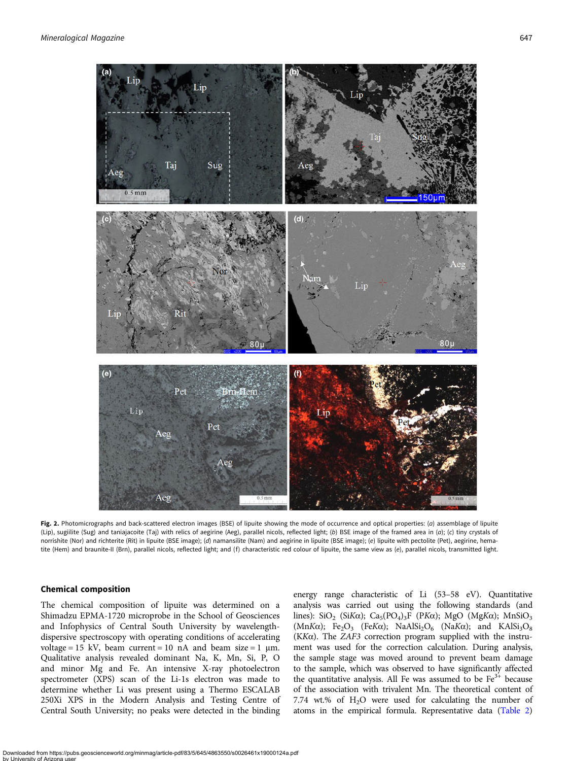<span id="page-2-0"></span>

Fig. 2. Photomicrographs and back-scattered electron images (BSE) of lipuite showing the mode of occurrence and optical properties: (a) assemblage of lipuite (Lip), sugiilite (Sug) and taniajacoite (Taj) with relics of aegirine (Aeg), parallel nicols, reflected light; (b) BSE image of the framed area in (a); (c) tiny crystals of norrishite (Nor) and richterite (Rit) in lipuite (BSE image); (d) namansilite (Nam) and aegirine in lipuite (BSE image); (e) lipuite with pectolite (Pet), aegirine, hematite (Hem) and braunite-II (Brn), parallel nicols, reflected light; and (f) characteristic red colour of lipuite, the same view as (e), parallel nicols, transmitted light.

# Chemical composition

The chemical composition of lipuite was determined on a Shimadzu EPMA-1720 microprobe in the School of Geosciences and Infophysics of Central South University by wavelengthdispersive spectroscopy with operating conditions of accelerating voltage = 15 kV, beam current = 10 nA and beam size = 1  $\mu$ m. Qualitative analysis revealed dominant Na, K, Mn, Si, P, O and minor Mg and Fe. An intensive X-ray photoelectron spectrometer (XPS) scan of the Li-1s electron was made to determine whether Li was present using a Thermo ESCALAB 250Xi XPS in the Modern Analysis and Testing Centre of Central South University; no peaks were detected in the binding

energy range characteristic of Li (53–58 eV). Quantitative analysis was carried out using the following standards (and lines): SiO<sub>2</sub> (SiKα); Ca<sub>5</sub>(PO<sub>4</sub>)<sub>3</sub>F (PKα); MgO (MgKα); MnSiO<sub>3</sub> (MnKα); Fe<sub>2</sub>O<sub>3</sub> (FeKα); NaAlSi<sub>2</sub>O<sub>6</sub> (NaKα); and KAlSi<sub>3</sub>O<sub>8</sub> (KK $\alpha$ ). The ZAF3 correction program supplied with the instrument was used for the correction calculation. During analysis, the sample stage was moved around to prevent beam damage to the sample, which was observed to have significantly affected the quantitative analysis. All Fe was assumed to be  $Fe<sup>3+</sup>$  because of the association with trivalent Mn. The theoretical content of 7.74 wt.% of  $H_2O$  were used for calculating the number of atoms in the empirical formula. Representative data [\(Table 2](#page-3-0))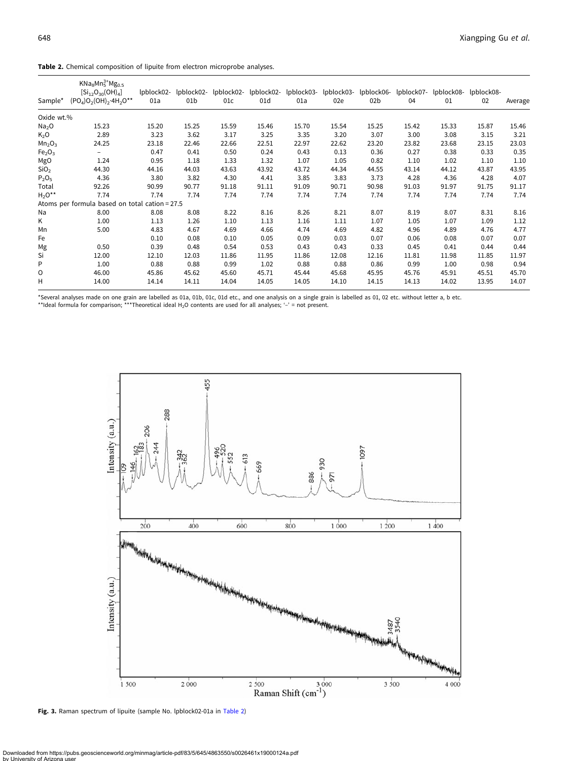<span id="page-3-0"></span>

|  |  |  | Table 2. Chemical composition of lipuite from electron microprobe analyses. |  |
|--|--|--|-----------------------------------------------------------------------------|--|
|  |  |  |                                                                             |  |

| Sample*                        | $KNa_8Mn_5^{3+}Mg_{0.5}$<br>$[Si_{12}O_{30}(OH)_4]$<br>$(PO4)O2(OH)2·4H2O**$ | lpblock02-<br>01a | lpblock02-<br>01b | lpblock02-<br>01c | lpblock02-<br>01d | 01a   | lpblock03- lpblock03- lpblock06-<br>02e | 02b   | lpblock07-<br>04 | lpblock08-<br>01 | lpblock08-<br>02 | Average |
|--------------------------------|------------------------------------------------------------------------------|-------------------|-------------------|-------------------|-------------------|-------|-----------------------------------------|-------|------------------|------------------|------------------|---------|
| Oxide wt.%                     |                                                                              |                   |                   |                   |                   |       |                                         |       |                  |                  |                  |         |
| Na <sub>2</sub> O              | 15.23                                                                        | 15.20             | 15.25             | 15.59             | 15.46             | 15.70 | 15.54                                   | 15.25 | 15.42            | 15.33            | 15.87            | 15.46   |
| $K_2O$                         | 2.89                                                                         | 3.23              | 3.62              | 3.17              | 3.25              | 3.35  | 3.20                                    | 3.07  | 3.00             | 3.08             | 3.15             | 3.21    |
| Mn <sub>2</sub> O <sub>3</sub> | 24.25                                                                        | 23.18             | 22.46             | 22.66             | 22.51             | 22.97 | 22.62                                   | 23.20 | 23.82            | 23.68            | 23.15            | 23.03   |
| Fe <sub>2</sub> O <sub>3</sub> | -                                                                            | 0.47              | 0.41              | 0.50              | 0.24              | 0.43  | 0.13                                    | 0.36  | 0.27             | 0.38             | 0.33             | 0.35    |
| MgO                            | 1.24                                                                         | 0.95              | 1.18              | 1.33              | 1.32              | 1.07  | 1.05                                    | 0.82  | 1.10             | 1.02             | 1.10             | 1.10    |
| SiO <sub>2</sub>               | 44.30                                                                        | 44.16             | 44.03             | 43.63             | 43.92             | 43.72 | 44.34                                   | 44.55 | 43.14            | 44.12            | 43.87            | 43.95   |
| $P_2O_5$                       | 4.36                                                                         | 3.80              | 3.82              | 4.30              | 4.41              | 3.85  | 3.83                                    | 3.73  | 4.28             | 4.36             | 4.28             | 4.07    |
| Total                          | 92.26                                                                        | 90.99             | 90.77             | 91.18             | 91.11             | 91.09 | 90.71                                   | 90.98 | 91.03            | 91.97            | 91.75            | 91.17   |
| $H_2O^{\star\star}$            | 7.74                                                                         | 7.74              | 7.74              | 7.74              | 7.74              | 7.74  | 7.74                                    | 7.74  | 7.74             | 7.74             | 7.74             | 7.74    |
|                                | Atoms per formula based on total cation = 27.5                               |                   |                   |                   |                   |       |                                         |       |                  |                  |                  |         |
| Na                             | 8.00                                                                         | 8.08              | 8.08              | 8.22              | 8.16              | 8.26  | 8.21                                    | 8.07  | 8.19             | 8.07             | 8.31             | 8.16    |
| K                              | 1.00                                                                         | 1.13              | 1.26              | 1.10              | 1.13              | 1.16  | 1.11                                    | 1.07  | 1.05             | 1.07             | 1.09             | 1.12    |
| Mn                             | 5.00                                                                         | 4.83              | 4.67              | 4.69              | 4.66              | 4.74  | 4.69                                    | 4.82  | 4.96             | 4.89             | 4.76             | 4.77    |
| Fe                             |                                                                              | 0.10              | 0.08              | 0.10              | 0.05              | 0.09  | 0.03                                    | 0.07  | 0.06             | 0.08             | 0.07             | 0.07    |
| Mg                             | 0.50                                                                         | 0.39              | 0.48              | 0.54              | 0.53              | 0.43  | 0.43                                    | 0.33  | 0.45             | 0.41             | 0.44             | 0.44    |
| Si                             | 12.00                                                                        | 12.10             | 12.03             | 11.86             | 11.95             | 11.86 | 12.08                                   | 12.16 | 11.81            | 11.98            | 11.85            | 11.97   |
| P                              | 1.00                                                                         | 0.88              | 0.88              | 0.99              | 1.02              | 0.88  | 0.88                                    | 0.86  | 0.99             | 1.00             | 0.98             | 0.94    |
| O                              | 46.00                                                                        | 45.86             | 45.62             | 45.60             | 45.71             | 45.44 | 45.68                                   | 45.95 | 45.76            | 45.91            | 45.51            | 45.70   |
| H                              | 14.00                                                                        | 14.14             | 14.11             | 14.04             | 14.05             | 14.05 | 14.10                                   | 14.15 | 14.13            | 14.02            | 13.95            | 14.07   |

\*Several analyses made on one grain are labelled as 01a, 01b, 01c, 01d etc., and one analysis on a single grain is labelled as 01, 02 etc. without letter a, b etc.<br>\*\*Ideal formula for comparison; \*\*\*Theoretical ideal H<sub>2</sub>O



Fig. 3. Raman spectrum of lipuite (sample No. lpblock02-01a in Table 2)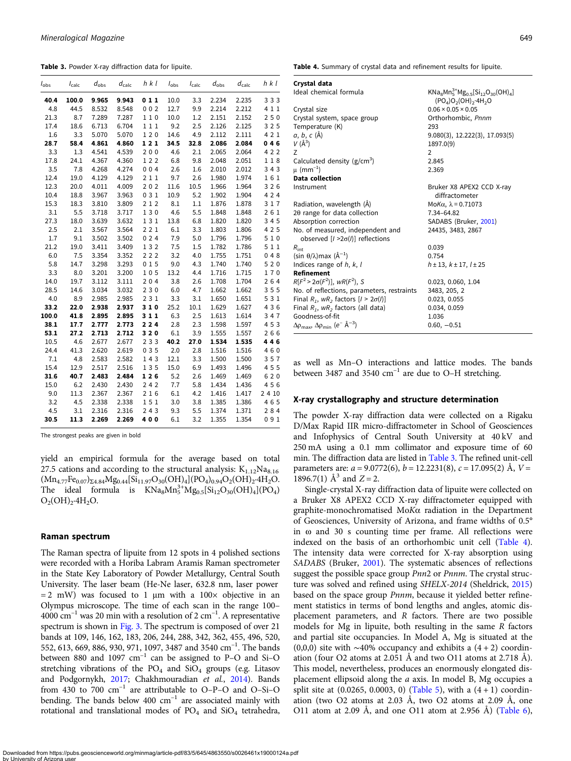<span id="page-4-0"></span>Table 3. Powder X-ray diffraction data for lipuite.

| $I_{\rm obs}$ | $I_{calc}$ | $d_{\rm obs}$ | $d_{\text{calc}}$ | h k l | $I_{\rm obs}$ | $I_{\mathsf{calc}}$ | $d_{\rm obs}$ | $d_{\text{calc}}$ | $h$ $k$ $l$ |
|---------------|------------|---------------|-------------------|-------|---------------|---------------------|---------------|-------------------|-------------|
| 40.4          | 100.0      | 9.965         | 9.943             | 011   | 10.0          | 3.3                 | 2.234         | 2.235             | 333         |
| 4.8           | 44.5       | 8.532         | 8.548             | 002   | 12.7          | 9.9                 | 2.214         | 2.212             | 4 1 1       |
| 21.3          | 8.7        | 7.289         | 7.287             | 110   | 10.0          | 1.2                 | 2.151         | 2.152             | 250         |
| 17.4          | 18.6       | 6.713         | 6.704             | 111   | 9.2           | 2.5                 | 2.126         | 2.125             | 325         |
| 1.6           | 3.3        | 5.070         | 5.070             | 120   | 14.6          | 4.9                 | 2.112         | 2.111             | 421         |
| 28.7          | 58.4       | 4.861         | 4.860             | 121   | 34.5          | 32.8                | 2.086         | 2.084             | 046         |
| 3.3           | 1.3        | 4.541         | 4.539             | 200   | 4.6           | 2.1                 | 2.065         | 2.064             | 422         |
| 17.8          | 24.1       | 4.367         | 4.360             | 122   | 6.8           | 9.8                 | 2.048         | 2.051             | 118         |
| 3.5           | 7.8        | 4.268         | 4.274             | 004   | 2.6           | 1.6                 | 2.010         | 2.012             | 343         |
| 12.4          | 19.0       | 4.129         | 4.129             | 211   | 9.7           | 2.6                 | 1.980         | 1.974             | 161         |
| 12.3          | 20.0       | 4.011         | 4.009             | 202   | 11.6          | 10.5                | 1.966         | 1.964             | 326         |
| 10.4          | 18.8       | 3.967         | 3.963             | 031   | 10.9          | 5.2                 | 1.902         | 1.904             | 424         |
| 15.3          | 18.3       | 3.810         | 3.809             | 212   | 8.1           | 1.1                 | 1.876         | 1.878             | 317         |
| 3.1           | 5.5        | 3.718         | 3.717             | 130   | 4.6           | 5.5                 | 1.848         | 1.848             | 261         |
| 27.3          | 18.0       | 3.639         | 3.632             | 131   | 13.8          | 6.8                 | 1.820         | 1.820             | 345         |
| 2.5           | 2.1        | 3.567         | 3.564             | 221   | 6.1           | 3.3                 | 1.803         | 1.806             | 425         |
| 1.7           | 9.1        | 3.502         | 3.502             | 024   | 7.9           | 5.0                 | 1.796         | 1.796             | 510         |
| 21.2          | 19.0       | 3.411         | 3.409             | 132   | 7.5           | 1.5                 | 1.782         | 1.786             | 511         |
| 6.0           | 7.5        | 3.354         | 3.352             | 222   | 3.2           | 4.0                 | 1.755         | 1.751             | 048         |
| 5.8           | 14.7       | 3.298         | 3.293             | 015   | 9.0           | 4.3                 | 1.740         | 1.740             | 520         |
| 3.3           | 8.0        | 3.201         | 3.200             | 105   | 13.2          | 4.4                 | 1.716         | 1.715             | 170         |
| 14.0          | 19.7       | 3.112         | 3.111             | 204   | 3.8           | 2.6                 | 1.708         | 1.704             | 264         |
| 28.5          | 14.6       | 3.034         | 3.032             | 230   | 6.0           | 4.7                 | 1.662         | 1.662             | 355         |
| 4.0           | 8.9        | 2.985         | 2.985             | 231   | 3.3           | 3.1                 | 1.650         | 1.651             | 531         |
| 33.2          | 22.0       | 2.938         | 2.937             | 310   | 25.2          | 10.1                | 1.629         | 1.627             | 436         |
| 100.0         | 41.8       | 2.895         | 2.895             | 311   | 6.3           | 2.5                 | 1.613         | 1.614             | 347         |
| 38.1          | 17.7       | 2.777         | 2.773             | 224   | 2.8           | 2.3                 | 1.598         | 1.597             | 453         |
| 53.1          | 27.2       | 2.713         | 2.712             | 320   | 6.1           | 3.9                 | 1.555         | 1.557             | 266         |
| 10.5          | 4.6        | 2.677         | 2.677             | 233   | 40.2          | 27.0                | 1.534         | 1.535             | 446         |
| 24.4          | 41.3       | 2.620         | 2.619             | 035   | 2.0           | 2.8                 | 1.516         | 1.516             | 460         |
| 7.1           | 4.8        | 2.583         | 2.582             | 143   | 12.1          | 3.3                 | 1.500         | 1.500             | 357         |
| 15.4          | 12.9       | 2.517         | 2.516             | 135   | 15.0          | 6.9                 | 1.493         | 1.496             | 455         |
| 31.6          | 40.7       | 2.483         | 2.484             | 126   | 5.2           | 2.6                 | 1.469         | 1.469             | 620         |
| 15.0          | 6.2        | 2.430         | 2.430             | 242   | 7.7           | 5.8                 | 1.434         | 1.436             | 456         |
| 9.0           | 11.3       | 2.367         | 2.367             | 216   | 6.1           | 4.2                 | 1.416         | 1.417             | 2 4 10      |
| 3.2           | 4.5        | 2.338         | 2.338             | 151   | 3.0           | 3.8                 | 1.385         | 1.386             | 465         |
| 4.5           | 3.1        | 2.316         | 2.316             | 243   | 9.3           | 5.5                 | 1.374         | 1.371             | 284         |
| 30.5          | 11.3       | 2.269         | 2.269             | 400   | 6.1           | 3.2                 | 1.355         | 1.354             | 091         |

The strongest peaks are given in bold

yield an empirical formula for the average based on total 27.5 cations and according to the structural analysis:  $K_{1,12}Na_{8,16}$  $(Mn_{4.77}Fe_{0.07})_{\Sigma4.84}Mg_{0.44}[Si_{11.97}O_{30}(OH)_4](PO_4)_{0.94}O_2(OH)_2.4H_2O.$ The ideal formula is  $KNa_8Mn_5^{3+}Mg_{0.5}[Si_{12}O_{30}(OH)_4](PO_4)$  $O_2(OH)_2.4H_2O.$ 

#### Raman spectrum

The Raman spectra of lipuite from 12 spots in 4 polished sections were recorded with a Horiba Labram Aramis Raman spectrometer in the State Key Laboratory of Powder Metallurgy, Central South University. The laser beam (He-Ne laser, 632.8 nm, laser power  $= 2$  mW) was focused to 1  $\mu$ m with a 100× objective in an Olympus microscope. The time of each scan in the range 100–  $4000 \text{ cm}^{-1}$  was 20 min with a resolution of 2 cm<sup>-1</sup>. A representative spectrum is shown in [Fig. 3](#page-3-0). The spectrum is composed of over 21 bands at 109, 146, 162, 183, 206, 244, 288, 342, 362, 455, 496, 520, 552, 613, 669, 886, 930, 971, 1097, 3487 and 3540 cm<sup>-1</sup>. The bands between 880 and 1097  $cm^{-1}$  can be assigned to P–O and Si–O stretching vibrations of the  $PO_4$  and  $SiO_4$  groups (e.g. Litasov and Podgornykh, [2017](#page-8-0); Chakhmouradian et al., [2014](#page-8-0)). Bands from 430 to  $700 \text{ cm}^{-1}$  are attributable to O–P–O and O–Si–O bending. The bands below  $400 \text{ cm}^{-1}$  are associated mainly with rotational and translational modes of  $PO<sub>4</sub>$  and  $SiO<sub>4</sub>$  tetrahedra, Table 4. Summary of crystal data and refinement results for lipuite.

| Crystal data                                                                      |                                                                   |
|-----------------------------------------------------------------------------------|-------------------------------------------------------------------|
| Ideal chemical formula                                                            | $KNa_8Mn_5^{3+}Mg_0s[Si_{12}O_{30}(OH)_4]$<br>$(PO4)O2(OH)2·4H2O$ |
| Crystal size                                                                      | $0.06 \times 0.05 \times 0.05$                                    |
| Crystal system, space group                                                       | Orthorhombic, Pnnm                                                |
| Temperature (K)                                                                   | 293                                                               |
| a, b, c (Å)                                                                       | 9.080(3), 12.222(3), 17.093(5)                                    |
| $V(\AA^3)$                                                                        | 1897.0(9)                                                         |
| Z                                                                                 | $\overline{2}$                                                    |
| Calculated density ( $g/cm3$ )                                                    | 2.845                                                             |
| $\mu$ (mm <sup>-1</sup> )                                                         | 2.369                                                             |
| Data collection                                                                   |                                                                   |
| Instrument                                                                        | Bruker X8 APEX2 CCD X-ray<br>diffractometer                       |
| Radiation, wavelength (Å)                                                         | Mo $K\alpha$ , $\lambda$ = 0.71073                                |
| 20 range for data collection                                                      | 7.34-64.82                                                        |
| Absorption correction                                                             | SADABS (Bruker, 2001)                                             |
| No. of measured, independent and<br>observed $[1 > 2\sigma(l)]$ reflections       | 24435, 3483, 2867                                                 |
| $R_{\rm int}$                                                                     | 0.039                                                             |
| (sin θ/λ)max (Å <sup>-1</sup> )                                                   | 0.754                                                             |
| Indices range of $h, k, l$                                                        | $h \pm 13$ , $k \pm 17$ , $l \pm 25$                              |
| <b>Refinement</b>                                                                 |                                                                   |
| $R[F^2 > 2\sigma(F^2)]$ , wR( $F^2$ ), S                                          | 0.023, 0.060, 1.04                                                |
| No. of reflections, parameters, restraints                                        | 3483, 205, 2                                                      |
| Final $R_1$ , $wR_2$ factors $[1 \geq 2\sigma(l)]$                                | 0.023, 0.055                                                      |
| Final $R_1$ , $wR_2$ factors (all data)                                           | 0.034, 0.059                                                      |
| Goodness-of-fit                                                                   | 1.036                                                             |
| $\Delta\rho_{\rm max}$ , $\Delta\rho_{\rm min}$ (e <sup>-</sup> Å <sup>-3</sup> ) | $0.60, -0.51$                                                     |

as well as Mn–O interactions and lattice modes. The bands between 3487 and 3540  $\text{cm}^{-1}$  are due to O–H stretching.

#### X-ray crystallography and structure determination

The powder X-ray diffraction data were collected on a Rigaku D/Max Rapid IIR micro-diffractometer in School of Geosciences and Infophysics of Central South University at 40 kV and 250 mA using a 0.1 mm collimator and exposure time of 60 min. The diffraction data are listed in Table 3. The refined unit-cell parameters are:  $a = 9.0772(6)$ ,  $b = 12.2231(8)$ ,  $c = 17.095(2)$  Å,  $V =$ 1896.7(1)  $\mathring{A}^3$  and  $Z = 2$ .

Single-crystal X-ray diffraction data of lipuite were collected on a Bruker X8 APEX2 CCD X-ray diffractometer equipped with graphite-monochromatised MoKα radiation in the Department of Geosciences, University of Arizona, and frame widths of 0.5° in ω and 30 s counting time per frame. All reflections were indexed on the basis of an orthorhombic unit cell (Table 4). The intensity data were corrected for X-ray absorption using SADABS (Bruker, [2001](#page-8-0)). The systematic absences of reflections suggest the possible space group Pnn2 or Pnnm. The crystal structure was solved and refined using SHELX-2014 (Sheldrick, [2015](#page-8-0)) based on the space group Pnnm, because it yielded better refinement statistics in terms of bond lengths and angles, atomic displacement parameters, and R factors. There are two possible models for Mg in lipuite, both resulting in the same R factors and partial site occupancies. In Model A, Mg is situated at the (0,0,0) site with ~40% occupancy and exhibits a  $(4 + 2)$  coordination (four O2 atoms at 2.051 Å and two O11 atoms at 2.718 Å). This model, nevertheless, produces an enormously elongated displacement ellipsoid along the a axis. In model B, Mg occupies a split site at  $(0.0265, 0.0003, 0)$  ([Table 5\)](#page-5-0), with a  $(4 + 1)$  coordination (two O2 atoms at 2.03 Å, two O2 atoms at 2.09 Å, one O11 atom at 2.09 Å, and one O11 atom at 2.956 Å) [\(Table 6](#page-5-0)),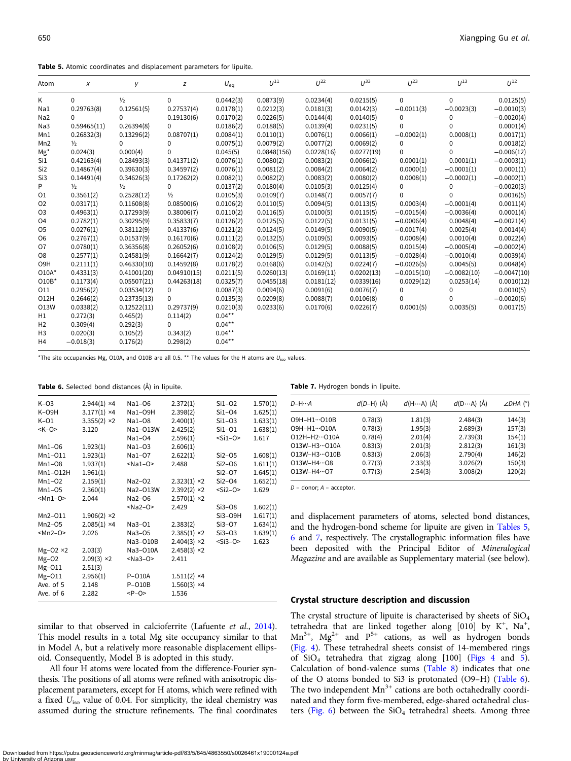<span id="page-5-0"></span>Table 5. Atomic coordinates and displacement parameters for lipuite.

| Atom             | Х             | У             | z             | $U_{eq}$  | $11^{11}$   | $11^{22}$  | $11^{33}$  | $11^{23}$     | $11^{13}$     | $11^{12}$     |
|------------------|---------------|---------------|---------------|-----------|-------------|------------|------------|---------------|---------------|---------------|
| Κ                | $\Omega$      | $\frac{1}{2}$ | 0             | 0.0442(3) | 0.0873(9)   | 0.0234(4)  | 0.0215(5)  | 0             | $\Omega$      | 0.0125(5)     |
| Na1              | 0.29763(8)    | 0.12561(5)    | 0.27537(4)    | 0.0178(1) | 0.0212(3)   | 0.0181(3)  | 0.0142(3)  | $-0.0011(3)$  | $-0.0023(3)$  | $-0.0010(3)$  |
| Na2              | 0             | 0             | 0.19130(6)    | 0.0170(2) | 0.0226(5)   | 0.0144(4)  | 0.0140(5)  | 0             | 0             | $-0.0020(4)$  |
| Na3              | 0.59465(11)   | 0.26394(8)    | 0             | 0.0186(2) | 0.0188(5)   | 0.0139(4)  | 0.0231(5)  | $\Omega$      | 0             | 0.0001(4)     |
| Mn1              | 0.26832(3)    | 0.13296(2)    | 0.08707(1)    | 0.0084(1) | 0.0110(1)   | 0.0076(1)  | 0.0066(1)  | $-0.0002(1)$  | 0.0008(1)     | 0.0017(1)     |
| Mn <sub>2</sub>  | $\frac{1}{2}$ | 0             | 0             | 0.0075(1) | 0.0079(2)   | 0.0077(2)  | 0.0069(2)  | 0             | 0             | 0.0018(2)     |
| $Mg^*$           | 0.024(3)      | 0.000(4)      | 0             | 0.045(5)  | 0.0848(156) | 0.0228(16) | 0.0277(19) | 0             | $\Omega$      | $-0.006(12)$  |
| Si1              | 0.42163(4)    | 0.28493(3)    | 0.41371(2)    | 0.0076(1) | 0.0080(2)   | 0.0083(2)  | 0.0066(2)  | 0.0001(1)     | 0.0001(1)     | $-0.0003(1)$  |
| Si <sub>2</sub>  | 0.14867(4)    | 0.39630(3)    | 0.34597(2)    | 0.0076(1) | 0.0081(2)   | 0.0084(2)  | 0.0064(2)  | 0.0000(1)     | $-0.0001(1)$  | 0.0001(1)     |
| Si3              | 0.14491(4)    | 0.34626(3)    | 0.17262(2)    | 0.0082(1) | 0.0082(2)   | 0.0083(2)  | 0.0080(2)  | 0.0008(1)     | $-0.0002(1)$  | $-0.0002(1)$  |
| P                | $\frac{1}{2}$ | $\frac{1}{2}$ | 0             | 0.0137(2) | 0.0180(4)   | 0.0105(3)  | 0.0125(4)  | 0             | 0             | $-0.0020(3)$  |
| 01               | 0.3561(2)     | 0.2528(12)    | $\frac{1}{2}$ | 0.0105(3) | 0.0109(7)   | 0.0148(7)  | 0.0057(7)  | 0             | 0             | 0.0016(5)     |
| 02               | 0.0317(1)     | 0.11608(8)    | 0.08500(6)    | 0.0106(2) | 0.0110(5)   | 0.0094(5)  | 0.0113(5)  | 0.0003(4)     | $-0.0001(4)$  | 0.0011(4)     |
| O <sub>3</sub>   | 0.4963(1)     | 0.17293(9)    | 0.38006(7)    | 0.0110(2) | 0.0116(5)   | 0.0100(5)  | 0.0115(5)  | $-0.0015(4)$  | $-0.0036(4)$  | 0.0001(4)     |
| O4               | 0.2782(1)     | 0.30295(9)    | 0.35833(7)    | 0.0126(2) | 0.0125(5)   | 0.0122(5)  | 0.0131(5)  | $-0.0006(4)$  | 0.0048(4)     | $-0.0021(4)$  |
| O <sub>5</sub>   | 0.0276(1)     | 0.38112(9)    | 0.41337(6)    | 0.0121(2) | 0.0124(5)   | 0.0149(5)  | 0.0090(5)  | $-0.0017(4)$  | 0.0025(4)     | 0.0014(4)     |
| 06               | 0.2767(1)     | 0.01537(9)    | 0.16170(6)    | 0.0111(2) | 0.0132(5)   | 0.0109(5)  | 0.0093(5)  | 0.0008(4)     | 0.0010(4)     | 0.0022(4)     |
| 07               | 0.0780(1)     | 0.36356(8)    | 0.26052(6)    | 0.0108(2) | 0.0106(5)   | 0.0129(5)  | 0.0088(5)  | 0.0015(4)     | $-0.0005(4)$  | $-0.0002(4)$  |
| O <sub>8</sub>   | 0.2577(1)     | 0.24581(9)    | 0.16642(7)    | 0.0124(2) | 0.0129(5)   | 0.0129(5)  | 0.0113(5)  | $-0.0028(4)$  | $-0.0010(4)$  | 0.0039(4)     |
| O <sub>9</sub> H | 0.2111(1)     | 0.46330(10)   | 0.14592(8)    | 0.0178(2) | 0.0168(6)   | 0.0142(5)  | 0.0224(7)  | $-0.0026(5)$  | 0.0045(5)     | 0.0048(4)     |
| $O10A*$          | 0.4331(3)     | 0.41001(20)   | 0.04910(15)   | 0.0211(5) | 0.0260(13)  | 0.0169(11) | 0.0202(13) | $-0.0015(10)$ | $-0.0082(10)$ | $-0.0047(10)$ |
| $010B*$          | 0.1173(4)     | 0.05507(21)   | 0.44263(18)   | 0.0325(7) | 0.0455(18)  | 0.0181(12) | 0.0339(16) | 0.0029(12)    | 0.0253(14)    | 0.0010(12)    |
| 011              | 0.2956(2)     | 0.03534(12)   | 0             | 0.0087(3) | 0.0094(6)   | 0.0091(6)  | 0.0076(7)  | 0             | 0             | 0.0010(5)     |
| 012H             | 0.2646(2)     | 0.23735(13)   | 0             | 0.0135(3) | 0.0209(8)   | 0.0088(7)  | 0.0106(8)  | 0             | 0             | $-0.0020(6)$  |
| <b>013W</b>      | 0.0338(2)     | 0.12522(11)   | 0.29737(9)    | 0.0210(3) | 0.0233(6)   | 0.0170(6)  | 0.0226(7)  | 0.0001(5)     | 0.0035(5)     | 0.0017(5)     |
| H1               | 0.272(3)      | 0.465(2)      | 0.114(2)      | $0.04***$ |             |            |            |               |               |               |
| H <sub>2</sub>   | 0.309(4)      | 0.292(3)      | 0             | $0.04***$ |             |            |            |               |               |               |
| H <sub>3</sub>   | 0.020(3)      | 0.105(2)      | 0.343(2)      | $0.04***$ |             |            |            |               |               |               |
| H4               | $-0.018(3)$   | 0.176(2)      | 0.298(2)      | $0.04***$ |             |            |            |               |               |               |

\*The site occupancies Mg, O10A, and O10B are all 0.5. \*\* The values for the H atoms are  $U_{iso}$  values.

Table 6. Selected bond distances (Å) in lipuite.

| $K-O3$<br>$K-O9H$<br>$K-O1$<br>$<$ K-O> | $2.944(1)$ ×4<br>$3.177(1)$ ×4<br>$3.355(2)$ ×2<br>3.120 | Na1-06<br>$Na1-O9H$<br>Na1-08<br>Na1-013W<br>Na1-04 | 2.372(1)<br>2.398(2)<br>2.400(1)<br>2.425(2)<br>2.596(1) | $Si1-O2$<br>$Si1-O4$<br>$Si1-03$<br>$Si1-O1$<br>$<$ Si1-O $>$ | 1.570(1)<br>1.625(1)<br>1.633(1)<br>1.638(1)<br>1.617 |
|-----------------------------------------|----------------------------------------------------------|-----------------------------------------------------|----------------------------------------------------------|---------------------------------------------------------------|-------------------------------------------------------|
| $Mn1-06$                                | 1.923(1)                                                 | $Na1-O3$                                            | 2.606(1)                                                 |                                                               |                                                       |
| $Mn1-O11$                               | 1.923(1)                                                 | Na1-07                                              | 2.622(1)                                                 | $Si2-05$                                                      | 1.608(1)                                              |
| $Mn1-08$                                | 1.937(1)                                                 | $<$ Na1-O>                                          | 2.488                                                    | $Si2-06$                                                      | 1.611(1)                                              |
| Mn1-012H                                | 1.961(1)                                                 |                                                     |                                                          | $Si2-O7$                                                      | 1.645(1)                                              |
| $Mn1-O2$                                | 2.159(1)                                                 | Na2-02                                              | $2.323(1) \times 2$                                      | $Si2-O4$                                                      | 1.652(1)                                              |
| $Mn1-05$                                | 2.360(1)                                                 | Na2-013W                                            | $2.392(2)$ ×2                                            | $<$ Si2-O $>$                                                 | 1.629                                                 |
| $Mn1-O$                                 | 2.044                                                    | Na2-06                                              | $2.570(1)$ ×2                                            |                                                               |                                                       |
|                                         |                                                          | $<$ Na2-O>                                          | 2.429                                                    | $Si3-08$                                                      | 1.602(1)                                              |
| Mn2-011                                 | $1.906(2)$ ×2                                            |                                                     |                                                          | $Si3-O9H$                                                     | 1.617(1)                                              |
| $Mn2-05$                                | $2.085(1)$ ×4                                            | Na3-01                                              | 2.383(2)                                                 | Si3-07                                                        | 1.634(1)                                              |
| $Mn2-O$                                 | 2.026                                                    | Na3-05                                              | $2.385(1)$ ×2                                            | $Si3-O3$                                                      | 1.639(1)                                              |
|                                         |                                                          | Na3-O10B                                            | $2.404(3)$ ×2                                            | $<$ Si3-O>                                                    | 1.623                                                 |
| $Mg-O2 \times 2$                        | 2.03(3)                                                  | Na3-O10A                                            | $2.458(3)$ ×2                                            |                                                               |                                                       |
| $Mg-O2$                                 | $2.09(3)$ ×2                                             | $<$ Na3-O>                                          | 2.411                                                    |                                                               |                                                       |
| Mg-011                                  | 2.51(3)                                                  |                                                     |                                                          |                                                               |                                                       |
| $Mg-O11$                                | 2.956(1)                                                 | $P-O10A$                                            | $1.511(2)$ ×4                                            |                                                               |                                                       |
| Ave. of 5                               | 2.148                                                    | $P-O10B$                                            | $1.560(3)$ ×4                                            |                                                               |                                                       |
| Ave. of 6                               | 2.282                                                    | $P-O$                                               | 1.536                                                    |                                                               |                                                       |

similar to that observed in calcioferrite (Lafuente et al., [2014\)](#page-8-0). This model results in a total Mg site occupancy similar to that in Model A, but a relatively more reasonable displacement ellipsoid. Consequently, Model B is adopted in this study.

All four H atoms were located from the difference-Fourier synthesis. The positions of all atoms were refined with anisotropic displacement parameters, except for H atoms, which were refined with a fixed Uiso value of 0.04. For simplicity, the ideal chemistry was assumed during the structure refinements. The final coordinates

| $D-H\cdots A$         | $d(D-H)$ (Å) | $d(HA)$ (Å) | $d(D \cdots A)$ (Å) | $\angle$ DHA $(°)$ |
|-----------------------|--------------|-------------|---------------------|--------------------|
| 09H-H1…010B           | 0.78(3)      | 1.81(3)     | 2.484(3)            | 144(3)             |
| O9H-H1…O10A           | 0.78(3)      | 1.95(3)     | 2.689(3)            | 157(3)             |
| 012H-H2…010A          | 0.78(4)      | 2.01(4)     | 2.739(3)            | 154(1)             |
| 013W-H3…010A          | 0.83(3)      | 2.01(3)     | 2.812(3)            | 161(3)             |
| 013W-H3…010B          | 0.83(3)      | 2.06(3)     | 2.790(4)            | 146(2)             |
| $013W - H4 \cdots 08$ | 0.77(3)      | 2.33(3)     | 3.026(2)            | 150(3)             |
| 013W-H4 ··· 07        | 0.77(3)      | 2.54(3)     | 3.008(2)            | 120(2)             |

D – donor; A – acceptor.

and displacement parameters of atoms, selected bond distances, and the hydrogen-bond scheme for lipuite are given in Tables 5, 6 and 7, respectively. The crystallographic information files have been deposited with the Principal Editor of Mineralogical Magazine and are available as Supplementary material (see below).

# Crystal structure description and discussion

The crystal structure of lipuite is characterised by sheets of  $SiO<sub>4</sub>$ tetrahedra that are linked together along [010] by  $K^+$ , Na<sup>+</sup>,  $Mn^{3+}$ ,  $Mg^{2+}$  and  $P^{5+}$  cations, as well as hydrogen bonds ([Fig. 4\)](#page-6-0). These tetrahedral sheets consist of 14-membered rings of SiO4 tetrahedra that zigzag along [100] ([Figs 4](#page-6-0) and [5](#page-6-0)). Calculation of bond-valence sums [\(Table 8\)](#page-7-0) indicates that one of the O atoms bonded to Si3 is protonated (O9–H) (Table 6). The two independent  $Mn^{3+}$  cations are both octahedrally coordinated and they form five-membered, edge-shared octahedral clus-ters [\(Fig. 6](#page-7-0)) between the  $SiO<sub>4</sub>$  tetrahedral sheets. Among three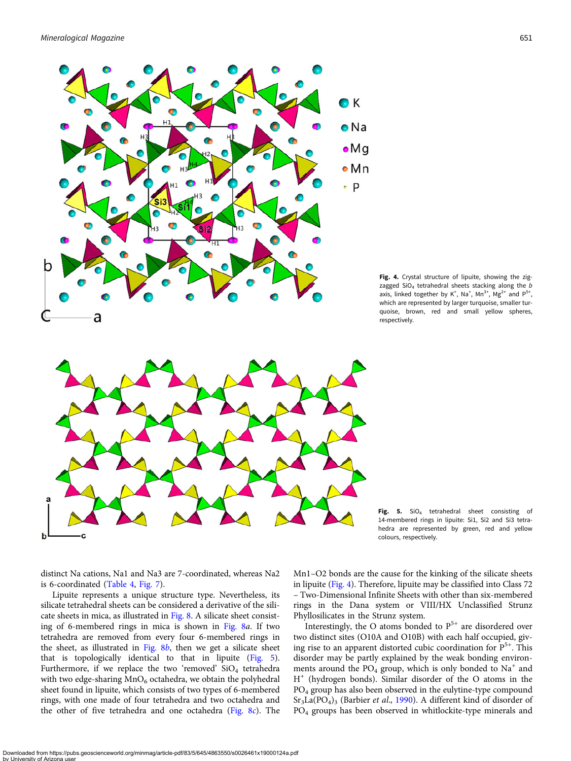<span id="page-6-0"></span>

Fig. 4. Crystal structure of lipuite, showing the zigzagged  $SiO<sub>4</sub>$  tetrahedral sheets stacking along the  $b$ axis, linked together by  $K^+$ , Na<sup>+</sup>, Mn<sup>3+</sup>, Mg<sup>2+</sup> and P<sup>5+</sup>, which are represented by larger turquoise, smaller turquoise, brown, red and small yellow spheres, respectively.

Fig. 5.  $SiO<sub>4</sub>$  tetrahedral sheet consisting of 14-membered rings in lipuite: Si1, Si2 and Si3 tetrahedra are represented by green, red and yellow colours, respectively.

distinct Na cations, Na1 and Na3 are 7-coordinated, whereas Na2 is 6-coordinated [\(Table 4,](#page-4-0) [Fig. 7\)](#page-7-0).

Lipuite represents a unique structure type. Nevertheless, its silicate tetrahedral sheets can be considered a derivative of the silicate sheets in mica, as illustrated in [Fig. 8](#page-7-0). A silicate sheet consisting of 6-membered rings in mica is shown in [Fig. 8](#page-7-0)a. If two tetrahedra are removed from every four 6-membered rings in the sheet, as illustrated in Fig.  $8b$ , then we get a silicate sheet that is topologically identical to that in lipuite (Fig. 5). Furthermore, if we replace the two 'removed'  $SiO<sub>4</sub>$  tetrahedra with two edge-sharing  $MnO_6$  octahedra, we obtain the polyhedral sheet found in lipuite, which consists of two types of 6-membered rings, with one made of four tetrahedra and two octahedra and the other of five tetrahedra and one octahedra [\(Fig. 8](#page-7-0)c). The Mn1–O2 bonds are the cause for the kinking of the silicate sheets in lipuite (Fig. 4). Therefore, lipuite may be classified into Class 72 – Two-Dimensional Infinite Sheets with other than six-membered rings in the Dana system or VIII/HX Unclassified Strunz Phyllosilicates in the Strunz system.

Interestingly, the O atoms bonded to  $P^{5+}$  are disordered over two distinct sites (O10A and O10B) with each half occupied, giving rise to an apparent distorted cubic coordination for  $P^{5+}$ . This disorder may be partly explained by the weak bonding environments around the  $PO_4$  group, which is only bonded to  $Na<sup>+</sup>$  and H<sup>+</sup> (hydrogen bonds). Similar disorder of the O atoms in the PO4 group has also been observed in the eulytine-type compound  $Sr<sub>3</sub>La(PO<sub>4</sub>)<sub>3</sub>$  (Barbier *et al.*, [1990\)](#page-8-0). A different kind of disorder of PO4 groups has been observed in whitlockite-type minerals and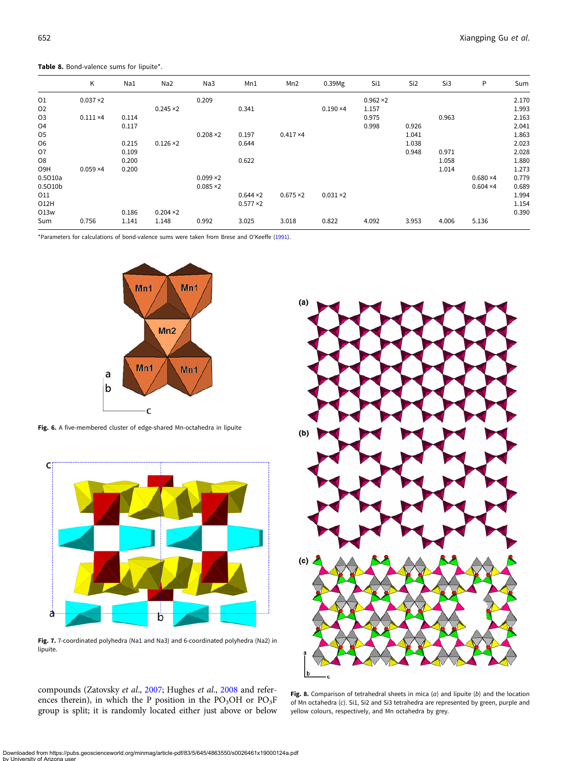<span id="page-7-0"></span>Table 8. Bond-valence sums for lipuite\*.

|                  | Κ                | Na1   | Na <sub>2</sub>  | Na3              | Mn1              | Mn <sub>2</sub>  | 0.39Mg           | Si1              | Si <sub>2</sub> | Si3   | P                | Sum   |
|------------------|------------------|-------|------------------|------------------|------------------|------------------|------------------|------------------|-----------------|-------|------------------|-------|
| 01               | $0.037 \times 2$ |       |                  | 0.209            |                  |                  |                  | $0.962 \times 2$ |                 |       |                  | 2.170 |
| 02               |                  |       | $0.245 \times 2$ |                  | 0.341            |                  | $0.190 \times 4$ | 1.157            |                 |       |                  | 1.993 |
| <b>O3</b>        | $0.111 \times 4$ | 0.114 |                  |                  |                  |                  |                  | 0.975            |                 | 0.963 |                  | 2.163 |
| O <sub>4</sub>   |                  | 0.117 |                  |                  |                  |                  |                  | 0.998            | 0.926           |       |                  | 2.041 |
| O <sub>5</sub>   |                  |       |                  | $0.208 \times 2$ | 0.197            | $0.417 \times 4$ |                  |                  | 1.041           |       |                  | 1.863 |
| O <sub>6</sub>   |                  | 0.215 | $0.126 \times 2$ |                  | 0.644            |                  |                  |                  | 1.038           |       |                  | 2.023 |
| O7               |                  | 0.109 |                  |                  |                  |                  |                  |                  | 0.948           | 0.971 |                  | 2.028 |
| O <sub>8</sub>   |                  | 0.200 |                  |                  | 0.622            |                  |                  |                  |                 | 1.058 |                  | 1.880 |
| O <sub>9</sub> H | $0.059 \times 4$ | 0.200 |                  |                  |                  |                  |                  |                  |                 | 1.014 |                  | 1.273 |
| 0.5010a          |                  |       |                  | $0.099 \times 2$ |                  |                  |                  |                  |                 |       | $0.680 \times 4$ | 0.779 |
| 0.5010b          |                  |       |                  | $0.085 \times 2$ |                  |                  |                  |                  |                 |       | $0.604 \times 4$ | 0.689 |
| 011              |                  |       |                  |                  | $0.644 \times 2$ | $0.675 \times 2$ | $0.031 \times 2$ |                  |                 |       |                  | 1.994 |
| 012H             |                  |       |                  |                  | $0.577 \times 2$ |                  |                  |                  |                 |       |                  | 1.154 |
| 013w             |                  | 0.186 | $0.204 \times 2$ |                  |                  |                  |                  |                  |                 |       |                  | 0.390 |
| Sum              | 0.756            | 1.141 | 1.148            | 0.992            | 3.025            | 3.018            | 0.822            | 4.092            | 3.953           | 4.006 | 5.136            |       |

\*Parameters for calculations of bond-valence sums were taken from Brese and O'Keeffe [\(1991\)](#page-8-0).



Fig. 6. A five-membered cluster of edge-shared Mn-octahedra in lipuite



Fig. 7. 7-coordinated polyhedra (Na1 and Na3) and 6-coordinated polyhedra (Na2) in lipuite.

compounds (Zatovsky et al., [2007](#page-9-0); Hughes et al., [2008](#page-8-0) and references therein), in which the P position in the  $PO<sub>3</sub>OH$  or  $PO<sub>3</sub>F$ group is split; it is randomly located either just above or below



Fig. 8. Comparison of tetrahedral sheets in mica  $(a)$  and lipuite  $(b)$  and the location of Mn octahedra (c). Si1, Si2 and Si3 tetrahedra are represented by green, purple and yellow colours, respectively, and Mn octahedra by grey.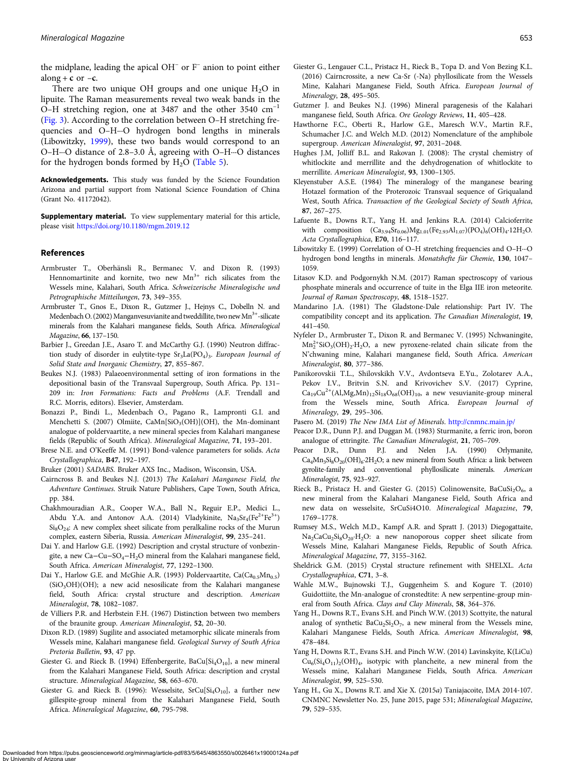<span id="page-8-0"></span>the midplane, leading the apical  $OH^-$  or  $F^-$  anion to point either along + c or  $-c$ .

There are two unique OH groups and one unique  $H<sub>2</sub>O$  in lipuite. The Raman measurements reveal two weak bands in the O–H stretching region, one at 3487 and the other 3540 cm–<sup>1</sup> ([Fig. 3\)](#page-3-0). According to the correlation between O–H stretching frequencies and O–H···O hydrogen bond lengths in minerals (Libowitzky, 1999), these two bands would correspond to an O–H···O distance of 2.8–3.0 Å, agreeing with O–H···O distances for the hydrogen bonds formed by  $H_2O$  [\(Table 5\)](#page-5-0).

Acknowledgements. This study was funded by the Science Foundation Arizona and partial support from National Science Foundation of China (Grant No. 41172042).

Supplementary material. To view supplementary material for this article, please visit <https://doi.org/10.1180/mgm.2019.12>

#### References

by I Iniversity o

- Armbruster T., Oberhänsli R., Bermanec V. and Dixon R. (1993) Hennomartinite and kornite, two new  $Mn^{3+}$  rich silicates from the Wessels mine, Kalahari, South Africa. Schweizerische Mineralogische und Petrographische Mitteilungen, 73, 349–355.
- Armbruster T., Gnos E., Dixon R., Gutzmer J., Hejnys C., Dobelln N. and Medenbach O. (2002) Manganvesuvianite and tweddillite, two new Mn<sup>3+</sup>-silicate minerals from the Kalahari manganese fields, South Africa. Mineralogical Magazine, 66, 137–150.
- Barbier J., Greedan J.E., Asaro T. and McCarthy G.J. (1990) Neutron diffraction study of disorder in eulytite-type  $Sr<sub>3</sub>La(PO<sub>4</sub>)<sub>3</sub>$ . European Journal of Solid State and Inorganic Chemistry, 27, 855–867.
- Beukes N.J. (1983) Palaeoenvironmental setting of iron formations in the depositional basin of the Transvaal Supergroup, South Africa. Pp. 131– 209 in: Iron Formations: Facts and Problems (A.F. Trendall and R.C. Morris, editors). Elsevier, Amsterdam.
- Bonazzi P., Bindi L., Medenbach O., Pagano R., Lampronti G.I. and Menchetti S. (2007) Olmiite, CaMn[SiO<sub>3</sub>(OH)](OH), the Mn-dominant analogue of poldervaartite, a new mineral species from Kalahari manganese fields (Republic of South Africa). Mineralogical Magazine, 71, 193–201.
- Brese N.E. and O'Keeffe M. (1991) Bond-valence parameters for solids. Acta Crystallographica, B47, 192–197.

Bruker (2001) SADABS. Bruker AXS Inc., Madison, Wisconsin, USA.

- Cairncross B. and Beukes N.J. (2013) The Kalahari Manganese Field, the Adventure Continues. Struik Nature Publishers, Cape Town, South Africa, pp. 384.
- Chakhmouradian A.R., Cooper W.A., Ball N., Reguir E.P., Medici L., Abdu Y.A. and Antonov A.A. (2014) Vladykinite,  $Na<sub>3</sub>Sr<sub>4</sub>(Fe<sup>2+</sup>Fe<sup>3+</sup>)$  $Si_8O_{24}$ : A new complex sheet silicate from peralkaline rocks of the Murun complex, eastern Siberia, Russia. American Mineralogist, 99, 235–241.
- Dai Y. and Harlow G.E. (1992) Description and crystal structure of vonbezingite, a new Ca−Cu−SO<sub>4</sub>−H<sub>2</sub>O mineral from the Kalahari manganese field, South Africa. American Mineralogist, 77, 1292–1300.
- Dai Y., Harlow G.E. and McGhie A.R. (1993) Poldervaartite,  $Ca(Ca_{0.5}Mn_{0.5})$  $(SiO<sub>3</sub>OH)(OH)$ ; a new acid nesosilicate from the Kalahari manganese field, South Africa: crystal structure and description. American Mineralogist, 78, 1082–1087.
- de Villiers P.R. and Herbstein F.H. (1967) Distinction between two members of the braunite group. American Mineralogist, 52, 20–30.
- Dixon R.D. (1989) Sugilite and associated metamorphic silicate minerals from Wessels mine, Kalahari manganese field. Geological Survey of South Africa Pretoria Bulletin, 93, 47 pp.
- Giester G. and Rieck B. (1994) Effenbergerite,  $BaCu[Si<sub>4</sub>O<sub>10</sub>]$ , a new mineral from the Kalahari Manganese Field, South Africa: description and crystal structure. Mineralogical Magazine, 58, 663–670.
- Giester G. and Rieck B. (1996): Wesselsite,  $SrCu[Si<sub>4</sub>O<sub>10</sub>]$ , a further new gillespite-group mineral from the Kalahari Manganese Field, South Africa. Mineralogical Magazine, 60, 795-798.
- Giester G., Lengauer C.L., Pristacz H., Rieck B., Topa D. and Von Bezing K.L. (2016) Cairncrossite, a new Ca-Sr (-Na) phyllosilicate from the Wessels Mine, Kalahari Manganese Field, South Africa. European Journal of Mineralogy, 28, 495–505.
- Gutzmer J. and Beukes N.J. (1996) Mineral paragenesis of the Kalahari manganese field, South Africa. Ore Geology Reviews, 11, 405–428.
- Hawthorne F.C., Oberti R., Harlow G.E., Maresch W.V., Martin R.F., Schumacher J.C. and Welch M.D. (2012) Nomenclature of the amphibole supergroup. American Mineralogist, 97, 2031–2048.
- Hughes J.M, Jolliff B.L. and Rakovan J. (2008): The crystal chemistry of whitlockite and merrillite and the dehydrogenation of whitlockite to merrillite. American Mineralogist, 93, 1300–1305.
- Kleyenstuber A.S.E. (1984) The mineralogy of the manganese bearing Hotazel formation of the Proterozoic Transvaal sequence of Griqualand West, South Africa. Transaction of the Geological Society of South Africa, 87, 267–275.
- Lafuente B., Downs R.T., Yang H. and Jenkins R.A. (2014) Calcioferrite with composition  $(Ca_{3.94}Sr_{0.06})Mg_{1.01}(Fe_{2.93}Al_{1.07})(PO_4)_6(OH)_4.12H_2O.$ Acta Crystallographica, E70, 116–117.
- Libowitzky E. (1999) Correlation of O–H stretching frequencies and O–H···O hydrogen bond lengths in minerals. Monatshefte für Chemie, 130, 1047-1059.
- Litasov K.D. and Podgornykh N.M. (2017) Raman spectroscopy of various phosphate minerals and occurrence of tuite in the Elga IIE iron meteorite. Journal of Raman Spectroscopy, 48, 1518–1527.
- Mandarino J.A. (1981) The Gladstone-Dale relationship: Part IV. The compatibility concept and its application. The Canadian Mineralogist, 19, 441–450.
- Nyfeler D., Armbruster T., Dixon R. and Bermanec V. (1995) Nchwaningite,  $Mn_2^{2+}SiO_3(OH)_2 \cdot H_2O$ , a new pyroxene-related chain silicate from the N'chwaning mine, Kalahari manganese field, South Africa. American Mineralogist, 80, 377–386.
- Panikorovskii T.L., Shilovskikh V.V., Avdontseva E.Yu., Zolotarev A.A., Pekov I.V., Britvin S.N. and Krivovichev S.V. (2017) Cyprine,  $Ca_{19}Cu^{2+}(Al, Mg, Mn)_{12}Si_{18}O_{68}(OH)_{10}$ , a new vesuvianite-group mineral from the Wessels mine, South Africa. European Journal of Mineralogy, 29, 295–306.

Pasero M. (2019) The New IMA List of Minerals. <http://cnmnc.main.jp/>

- Peacor D.R., Dunn P.J. and Duggan M. (1983) Sturmanite, a ferric iron, boron analogue of ettringite. The Canadian Mineralogist, 21, 705–709.
- Peacor D.R., Dunn P.J. and Nelen J.A. (1990) Orlymanite,  $Ca<sub>4</sub>Mn<sub>3</sub>Si<sub>8</sub>O<sub>20</sub>(OH)<sub>6</sub>·2H<sub>2</sub>O;$  a new mineral from South Africa: a link between gyrolite-family and conventional phyllosilicate minerals. American Mineralogist, 75, 923–927.
- Rieck B., Pristacz H. and Giester G. (2015) Colinowensite, Ba $CuSi<sub>2</sub>O<sub>6</sub>$ , a new mineral from the Kalahari Manganese Field, South Africa and new data on wesselsite, SrCuSi4O10. Mineralogical Magazine, 79, 1769–1778.
- Rumsey M.S., Welch M.D., Kampf A.R. and Spratt J. (2013) Diegogattaite, Na<sub>2</sub>CaCu<sub>2</sub>Si<sub>8</sub>O<sub>20</sub>·H<sub>2</sub>O: a new nanoporous copper sheet silicate from Wessels Mine, Kalahari Manganese Fields, Republic of South Africa. Mineralogical Magazine, 77, 3155–3162.
- Sheldrick G.M. (2015) Crystal structure refinement with SHELXL. Acta Crystallographica, C71, 3–8.
- Wahle M.W., Bujnowski T.J., Guggenheim S. and Kogure T. (2010) Guidottiite, the Mn-analogue of cronstedtite: A new serpentine-group mineral from South Africa. Clays and Clay Minerals, 58, 364–376.
- Yang H., Downs R.T., Evans S.H. and Pinch W.W. (2013) Scottyite, the natural analog of synthetic  $BaCu<sub>2</sub>Si<sub>2</sub>O<sub>7</sub>$ , a new mineral from the Wessels mine, Kalahari Manganese Fields, South Africa. American Mineralogist, 98, 478–484.
- Yang H, Downs R.T., Evans S.H. and Pinch W.W. (2014) Lavinskyite, K(LiCu)  $Cu<sub>6</sub>(Si<sub>4</sub>O<sub>11</sub>)<sub>2</sub>(OH)<sub>4</sub>$ , isotypic with plancheite, a new mineral from the Wessels mine, Kalahari Manganese Fields, South Africa. American Mineralogist, 99, 525–530.
- Yang H., Gu X., Downs R.T. and Xie X. (2015a) Taniajacoite, IMA 2014-107. CNMNC Newsletter No. 25, June 2015, page 531; Mineralogical Magazine, 79, 529–535.